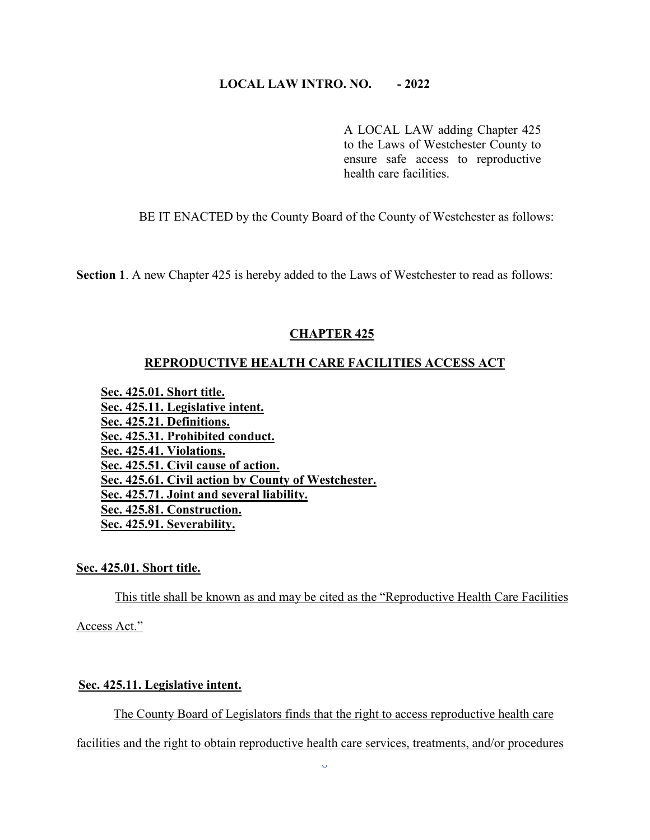# **LOCAL LAW INTRO. NO. - 2022**

A LOCAL LAW adding Chapter 425 to the Laws of Westchester County to ensure safe access to reproductive health care facilities.

BE IT ENACTED by the County Board of the County of Westchester as follows:

**Section 1**. A new Chapter 425 is hereby added to the Laws of Westchester to read as follows:

### **CHAPTER 425**

#### **REPRODUCTIVE HEALTH CARE FACILITIES ACCESS ACT**

**Sec. 425.01. Short title. Sec. 425.11. Legislative intent. Sec. 425.21. Definitions. Sec. 425.31. Prohibited conduct. Sec. 425.41. Violations. Sec. 425.51. Civil cause of action. Sec. 425.61. Civil action by County of Westchester. Sec. 425.71. Joint and several liability. Sec. 425.81. Construction. Sec. 425.91. Severability.**

#### **Sec. 425.01. Short title.**

This title shall be known as and may be cited as the "Reproductive Health Care Facilities

Access Act."

# **Sec. 425.11. Legislative intent.**

The County Board of Legislators finds that the right to access reproductive health care

facilities and the right to obtain reproductive health care services, treatments, and/or procedures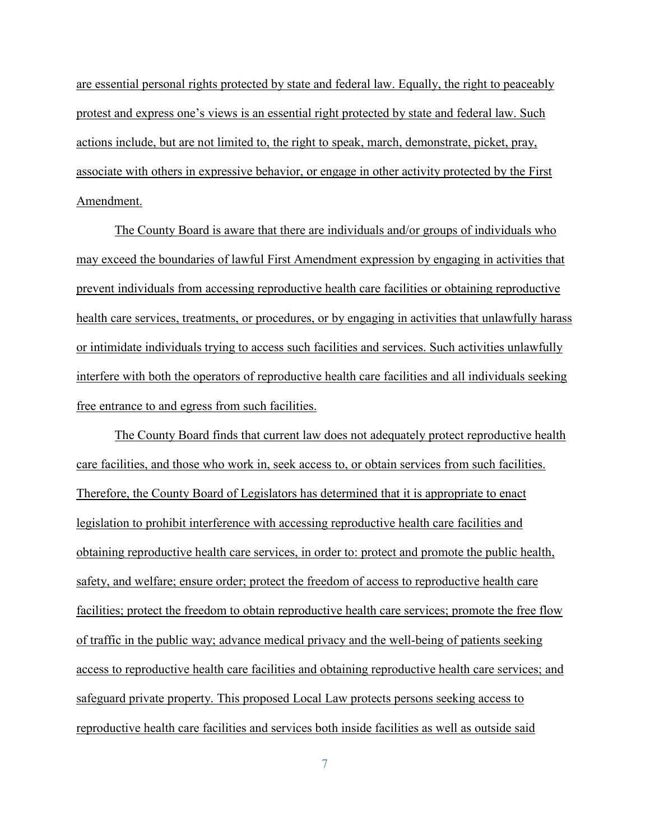are essential personal rights protected by state and federal law. Equally, the right to peaceably protest and express one's views is an essential right protected by state and federal law. Such actions include, but are not limited to, the right to speak, march, demonstrate, picket, pray, associate with others in expressive behavior, or engage in other activity protected by the First Amendment.

The County Board is aware that there are individuals and/or groups of individuals who may exceed the boundaries of lawful First Amendment expression by engaging in activities that prevent individuals from accessing reproductive health care facilities or obtaining reproductive health care services, treatments, or procedures, or by engaging in activities that unlawfully harass or intimidate individuals trying to access such facilities and services. Such activities unlawfully interfere with both the operators of reproductive health care facilities and all individuals seeking free entrance to and egress from such facilities.

The County Board finds that current law does not adequately protect reproductive health care facilities, and those who work in, seek access to, or obtain services from such facilities. Therefore, the County Board of Legislators has determined that it is appropriate to enact legislation to prohibit interference with accessing reproductive health care facilities and obtaining reproductive health care services, in order to: protect and promote the public health, safety, and welfare; ensure order; protect the freedom of access to reproductive health care facilities; protect the freedom to obtain reproductive health care services; promote the free flow of traffic in the public way; advance medical privacy and the well-being of patients seeking access to reproductive health care facilities and obtaining reproductive health care services; and safeguard private property. This proposed Local Law protects persons seeking access to reproductive health care facilities and services both inside facilities as well as outside said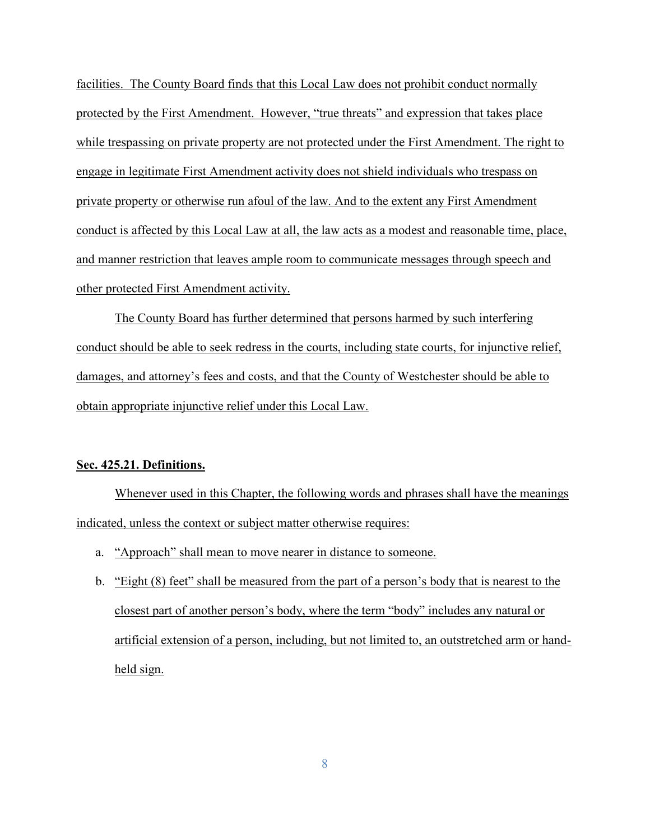facilities. The County Board finds that this Local Law does not prohibit conduct normally protected by the First Amendment. However, "true threats" and expression that takes place while trespassing on private property are not protected under the First Amendment. The right to engage in legitimate First Amendment activity does not shield individuals who trespass on private property or otherwise run afoul of the law. And to the extent any First Amendment conduct is affected by this Local Law at all, the law acts as a modest and reasonable time, place, and manner restriction that leaves ample room to communicate messages through speech and other protected First Amendment activity.

The County Board has further determined that persons harmed by such interfering conduct should be able to seek redress in the courts, including state courts, for injunctive relief, damages, and attorney's fees and costs, and that the County of Westchester should be able to obtain appropriate injunctive relief under this Local Law.

#### **Sec. 425.21. Definitions.**

Whenever used in this Chapter, the following words and phrases shall have the meanings indicated, unless the context or subject matter otherwise requires:

- a. "Approach" shall mean to move nearer in distance to someone.
- b. "Eight (8) feet" shall be measured from the part of a person's body that is nearest to the closest part of another person's body, where the term "body" includes any natural or artificial extension of a person, including, but not limited to, an outstretched arm or handheld sign.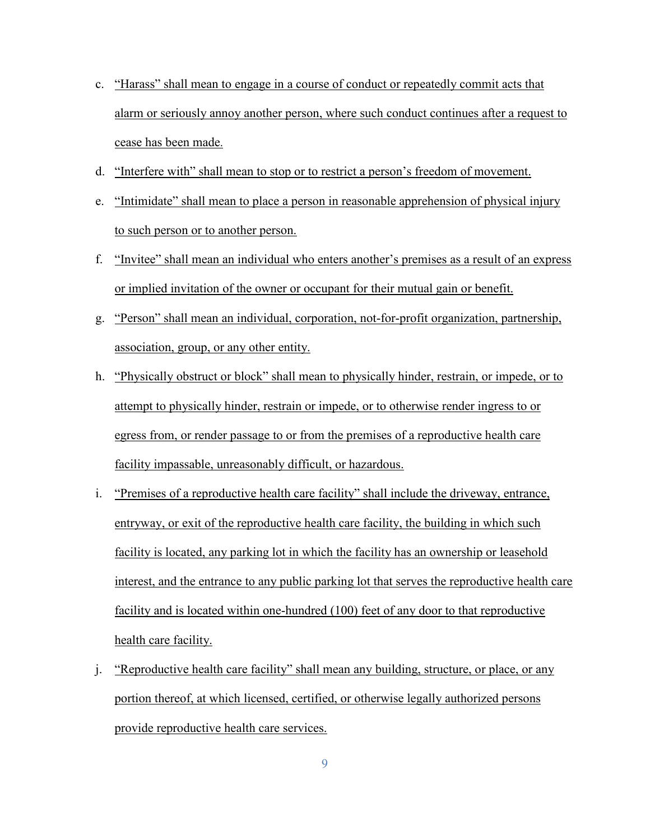- c. "Harass" shall mean to engage in a course of conduct or repeatedly commit acts that alarm or seriously annoy another person, where such conduct continues after a request to cease has been made.
- d. "Interfere with" shall mean to stop or to restrict a person's freedom of movement.
- e. "Intimidate" shall mean to place a person in reasonable apprehension of physical injury to such person or to another person.
- f. "Invitee" shall mean an individual who enters another's premises as a result of an express or implied invitation of the owner or occupant for their mutual gain or benefit.
- g. "Person" shall mean an individual, corporation, not-for-profit organization, partnership, association, group, or any other entity.
- h. "Physically obstruct or block" shall mean to physically hinder, restrain, or impede, or to attempt to physically hinder, restrain or impede, or to otherwise render ingress to or egress from, or render passage to or from the premises of a reproductive health care facility impassable, unreasonably difficult, or hazardous.
- i. "Premises of a reproductive health care facility" shall include the driveway, entrance, entryway, or exit of the reproductive health care facility, the building in which such facility is located, any parking lot in which the facility has an ownership or leasehold interest, and the entrance to any public parking lot that serves the reproductive health care facility and is located within one-hundred (100) feet of any door to that reproductive health care facility.
- j. "Reproductive health care facility" shall mean any building, structure, or place, or any portion thereof, at which licensed, certified, or otherwise legally authorized persons provide reproductive health care services.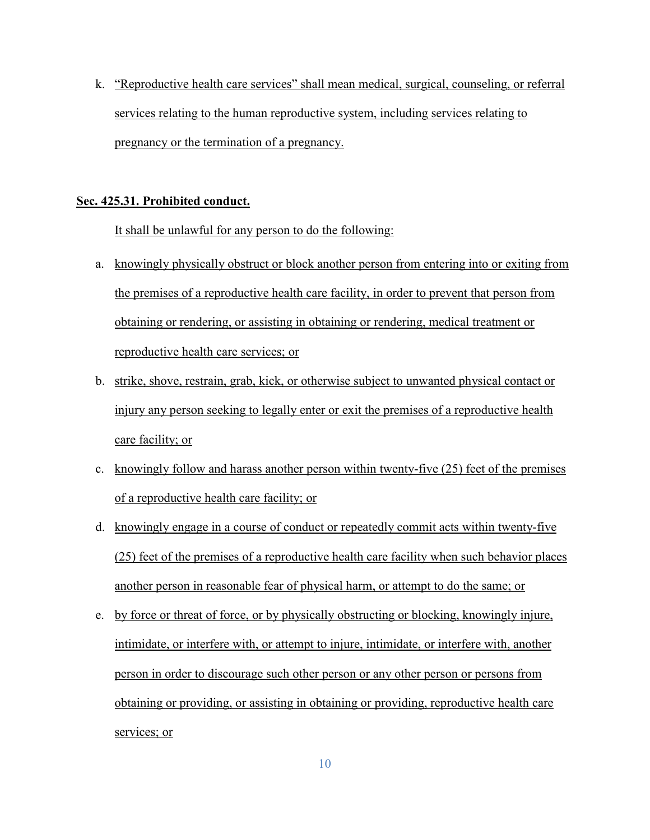k. "Reproductive health care services" shall mean medical, surgical, counseling, or referral services relating to the human reproductive system, including services relating to pregnancy or the termination of a pregnancy.

#### **Sec. 425.31. Prohibited conduct.**

It shall be unlawful for any person to do the following:

- a. knowingly physically obstruct or block another person from entering into or exiting from the premises of a reproductive health care facility, in order to prevent that person from obtaining or rendering, or assisting in obtaining or rendering, medical treatment or reproductive health care services; or
- b. strike, shove, restrain, grab, kick, or otherwise subject to unwanted physical contact or injury any person seeking to legally enter or exit the premises of a reproductive health care facility; or
- c. knowingly follow and harass another person within twenty-five (25) feet of the premises of a reproductive health care facility; or
- d. knowingly engage in a course of conduct or repeatedly commit acts within twenty-five (25) feet of the premises of a reproductive health care facility when such behavior places another person in reasonable fear of physical harm, or attempt to do the same; or
- e. by force or threat of force, or by physically obstructing or blocking, knowingly injure, intimidate, or interfere with, or attempt to injure, intimidate, or interfere with, another person in order to discourage such other person or any other person or persons from obtaining or providing, or assisting in obtaining or providing, reproductive health care services; or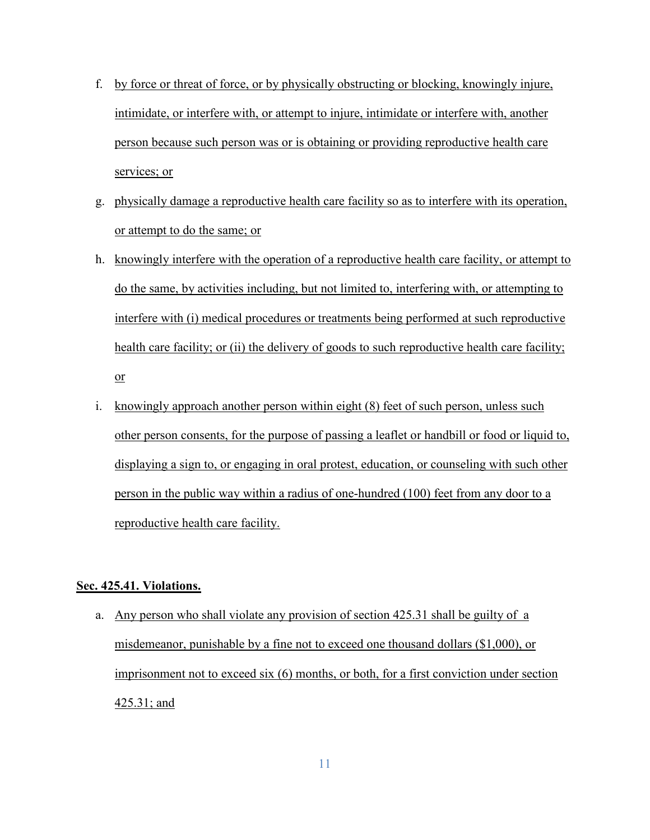- f. by force or threat of force, or by physically obstructing or blocking, knowingly injure, intimidate, or interfere with, or attempt to injure, intimidate or interfere with, another person because such person was or is obtaining or providing reproductive health care services; or
- g. physically damage a reproductive health care facility so as to interfere with its operation, or attempt to do the same; or
- h. knowingly interfere with the operation of a reproductive health care facility, or attempt to do the same, by activities including, but not limited to, interfering with, or attempting to interfere with (i) medical procedures or treatments being performed at such reproductive health care facility; or (ii) the delivery of goods to such reproductive health care facility; or
- i. knowingly approach another person within eight (8) feet of such person, unless such other person consents, for the purpose of passing a leaflet or handbill or food or liquid to, displaying a sign to, or engaging in oral protest, education, or counseling with such other person in the public way within a radius of one-hundred (100) feet from any door to a reproductive health care facility.

### **Sec. 425.41. Violations.**

a. Any person who shall violate any provision of section 425.31 shall be guilty of a misdemeanor, punishable by a fine not to exceed one thousand dollars (\$1,000), or imprisonment not to exceed six (6) months, or both, for a first conviction under section 425.31; and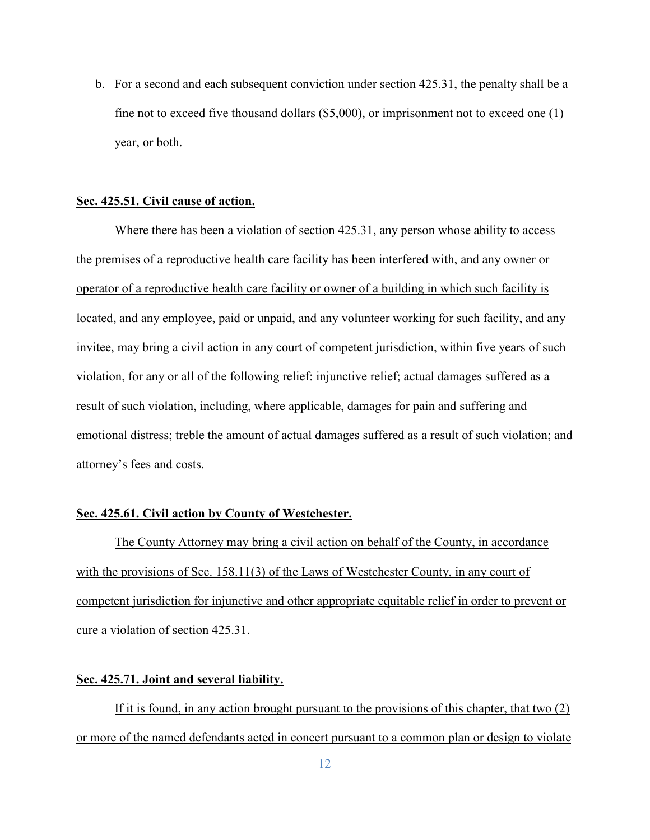b. For a second and each subsequent conviction under section 425.31, the penalty shall be a fine not to exceed five thousand dollars (\$5,000), or imprisonment not to exceed one (1) year, or both.

#### **Sec. 425.51. Civil cause of action.**

Where there has been a violation of section 425.31, any person whose ability to access the premises of a reproductive health care facility has been interfered with, and any owner or operator of a reproductive health care facility or owner of a building in which such facility is located, and any employee, paid or unpaid, and any volunteer working for such facility, and any invitee, may bring a civil action in any court of competent jurisdiction, within five years of such violation, for any or all of the following relief: injunctive relief; actual damages suffered as a result of such violation, including, where applicable, damages for pain and suffering and emotional distress; treble the amount of actual damages suffered as a result of such violation; and attorney's fees and costs.

# **Sec. 425.61. Civil action by County of Westchester.**

The County Attorney may bring a civil action on behalf of the County, in accordance with the provisions of Sec. 158.11(3) of the Laws of Westchester County, in any court of competent jurisdiction for injunctive and other appropriate equitable relief in order to prevent or cure a violation of section 425.31.

## **Sec. 425.71. Joint and several liability.**

If it is found, in any action brought pursuant to the provisions of this chapter, that two (2) or more of the named defendants acted in concert pursuant to a common plan or design to violate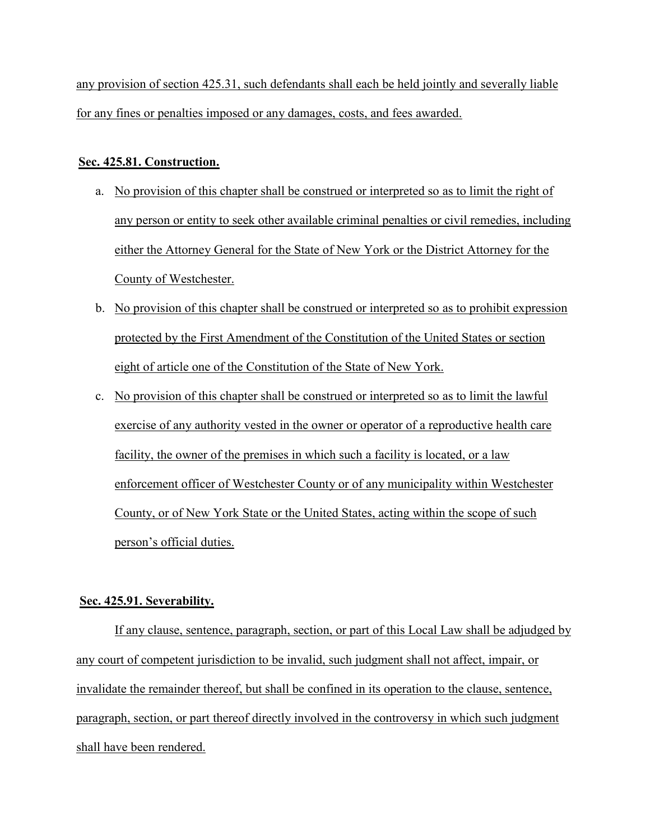any provision of section 425.31, such defendants shall each be held jointly and severally liable for any fines or penalties imposed or any damages, costs, and fees awarded.

# **Sec. 425.81. Construction.**

- a. No provision of this chapter shall be construed or interpreted so as to limit the right of any person or entity to seek other available criminal penalties or civil remedies, including either the Attorney General for the State of New York or the District Attorney for the County of Westchester.
- b. No provision of this chapter shall be construed or interpreted so as to prohibit expression protected by the First Amendment of the Constitution of the United States or section eight of article one of the Constitution of the State of New York.
- c. No provision of this chapter shall be construed or interpreted so as to limit the lawful exercise of any authority vested in the owner or operator of a reproductive health care facility, the owner of the premises in which such a facility is located, or a law enforcement officer of Westchester County or of any municipality within Westchester County, or of New York State or the United States, acting within the scope of such person's official duties.

# **Sec. 425.91. Severability.**

If any clause, sentence, paragraph, section, or part of this Local Law shall be adjudged by any court of competent jurisdiction to be invalid, such judgment shall not affect, impair, or invalidate the remainder thereof, but shall be confined in its operation to the clause, sentence, paragraph, section, or part thereof directly involved in the controversy in which such judgment shall have been rendered.